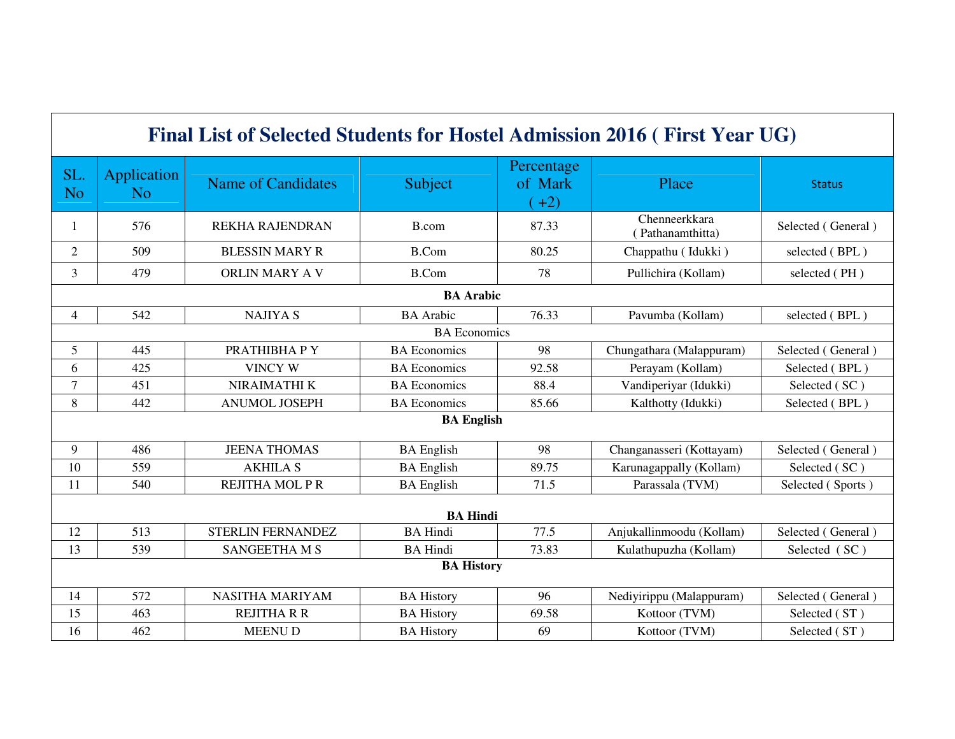| Final List of Selected Students for Hostel Admission 2016 (First Year UG) |                                      |                           |                     |                                 |                                   |                    |  |  |  |
|---------------------------------------------------------------------------|--------------------------------------|---------------------------|---------------------|---------------------------------|-----------------------------------|--------------------|--|--|--|
| SL.<br><b>No</b>                                                          | <b>Application</b><br>N <sub>o</sub> | <b>Name of Candidates</b> | Subject             | Percentage<br>of Mark<br>$(+2)$ | Place                             | <b>Status</b>      |  |  |  |
| 1                                                                         | 576                                  | <b>REKHA RAJENDRAN</b>    | B.com               | 87.33                           | Chenneerkkara<br>(Pathanamthitta) | Selected (General) |  |  |  |
| $\overline{c}$                                                            | 509                                  | <b>BLESSIN MARY R</b>     | <b>B.Com</b>        | 80.25                           | Chappathu (Idukki)                | selected (BPL)     |  |  |  |
| 3                                                                         | 479                                  | ORLIN MARY A V            | <b>B.Com</b>        | 78                              | Pullichira (Kollam)               | selected (PH)      |  |  |  |
| <b>BA</b> Arabic                                                          |                                      |                           |                     |                                 |                                   |                    |  |  |  |
| $\overline{4}$                                                            | 542                                  | <b>NAJIYA S</b>           | <b>BA</b> Arabic    | 76.33                           | Pavumba (Kollam)                  | selected (BPL)     |  |  |  |
|                                                                           | <b>BA</b> Economics                  |                           |                     |                                 |                                   |                    |  |  |  |
| 5                                                                         | 445                                  | PRATHIBHA P Y             | <b>BA</b> Economics | 98                              | Chungathara (Malappuram)          | Selected (General) |  |  |  |
| 6                                                                         | 425                                  | <b>VINCY W</b>            | <b>BA</b> Economics | 92.58                           | Perayam (Kollam)                  | Selected (BPL)     |  |  |  |
| $\overline{7}$                                                            | 451                                  | NIRAIMATHI K              | <b>BA</b> Economics | 88.4                            | Vandiperiyar (Idukki)             | Selected (SC)      |  |  |  |
| 8                                                                         | 442                                  | <b>ANUMOL JOSEPH</b>      | <b>BA</b> Economics | 85.66                           | Kalthotty (Idukki)                | Selected (BPL)     |  |  |  |
| <b>BA English</b>                                                         |                                      |                           |                     |                                 |                                   |                    |  |  |  |
| 9                                                                         | 486                                  | <b>JEENA THOMAS</b>       | <b>BA</b> English   | 98                              | Changanasseri (Kottayam)          | Selected (General) |  |  |  |
| 10                                                                        | 559                                  | <b>AKHILA S</b>           | <b>BA</b> English   | 89.75                           | Karunagappally (Kollam)           | Selected (SC)      |  |  |  |
| 11                                                                        | 540                                  | <b>REJITHA MOL P R</b>    | <b>BA</b> English   | 71.5                            | Parassala (TVM)                   | Selected (Sports)  |  |  |  |
| <b>BA Hindi</b>                                                           |                                      |                           |                     |                                 |                                   |                    |  |  |  |
| 12                                                                        | 513                                  | STERLIN FERNANDEZ         | <b>BA Hindi</b>     | 77.5                            | Anjukallinmoodu (Kollam)          | Selected (General) |  |  |  |
| 13                                                                        | 539                                  | <b>SANGEETHAMS</b>        | <b>BA Hindi</b>     | 73.83                           | Kulathupuzha (Kollam)             | Selected (SC)      |  |  |  |
| <b>BA History</b>                                                         |                                      |                           |                     |                                 |                                   |                    |  |  |  |
| 14                                                                        | 572                                  | <b>NASITHA MARIYAM</b>    | <b>BA History</b>   | 96                              | Nediyirippu (Malappuram)          | Selected (General) |  |  |  |
| 15                                                                        | 463                                  | <b>REJITHA R R</b>        | <b>BA History</b>   | 69.58                           | Kottoor (TVM)                     | Selected (ST)      |  |  |  |
| 16                                                                        | 462                                  | MEENU D                   | <b>BA History</b>   | 69                              | Kottoor (TVM)                     | Selected (ST)      |  |  |  |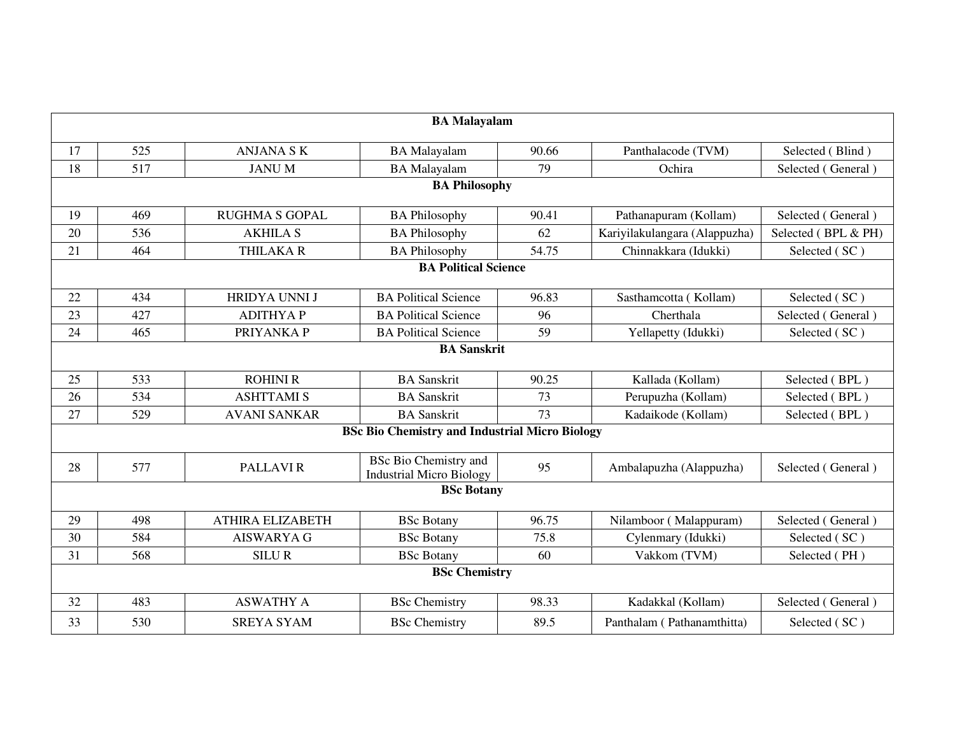| <b>BA Malayalam</b> |                                                       |                         |                                                                 |       |                               |                     |  |  |  |
|---------------------|-------------------------------------------------------|-------------------------|-----------------------------------------------------------------|-------|-------------------------------|---------------------|--|--|--|
| 17                  | 525                                                   | <b>ANJANA SK</b>        | <b>BA</b> Malayalam                                             | 90.66 | Panthalacode (TVM)            | Selected (Blind)    |  |  |  |
| 18                  | 517                                                   | <b>JANUM</b>            | <b>BA</b> Malayalam                                             | 79    | Ochira                        | Selected (General)  |  |  |  |
|                     | <b>BA Philosophy</b>                                  |                         |                                                                 |       |                               |                     |  |  |  |
| 19                  | 469                                                   | <b>RUGHMA S GOPAL</b>   | <b>BA Philosophy</b>                                            | 90.41 | Pathanapuram (Kollam)         | Selected (General)  |  |  |  |
| 20                  | 536                                                   | <b>AKHILA S</b>         | <b>BA Philosophy</b>                                            | 62    | Kariyilakulangara (Alappuzha) | Selected (BPL & PH) |  |  |  |
| 21                  | 464                                                   | <b>THILAKAR</b>         | <b>BA Philosophy</b>                                            | 54.75 | Chinnakkara (Idukki)          | Selected (SC)       |  |  |  |
|                     | <b>BA Political Science</b>                           |                         |                                                                 |       |                               |                     |  |  |  |
| 22                  | 434                                                   | HRIDYA UNNI J           | <b>BA Political Science</b>                                     | 96.83 | Sasthamcotta (Kollam)         | Selected (SC)       |  |  |  |
| 23                  | 427                                                   | <b>ADITHYAP</b>         | <b>BA Political Science</b>                                     | 96    | Cherthala                     | Selected (General)  |  |  |  |
| 24                  | 465                                                   | PRIYANKA P              | <b>BA Political Science</b>                                     | 59    | Yellapetty (Idukki)           | Selected (SC)       |  |  |  |
|                     | <b>BA Sanskrit</b>                                    |                         |                                                                 |       |                               |                     |  |  |  |
| 25                  | 533                                                   | <b>ROHINI R</b>         | <b>BA</b> Sanskrit                                              | 90.25 | Kallada (Kollam)              | Selected (BPL)      |  |  |  |
| 26                  | 534                                                   | <b>ASHTTAMI S</b>       | <b>BA</b> Sanskrit                                              | 73    | Perupuzha (Kollam)            | Selected (BPL)      |  |  |  |
| 27                  | 529                                                   | <b>AVANI SANKAR</b>     | <b>BA</b> Sanskrit                                              | 73    | Kadaikode (Kollam)            | Selected (BPL)      |  |  |  |
|                     | <b>BSc Bio Chemistry and Industrial Micro Biology</b> |                         |                                                                 |       |                               |                     |  |  |  |
| 28                  | 577                                                   | PALLAVI <sub>R</sub>    | <b>BSc Bio Chemistry and</b><br><b>Industrial Micro Biology</b> | 95    | Ambalapuzha (Alappuzha)       | Selected (General)  |  |  |  |
|                     | <b>BSc Botany</b>                                     |                         |                                                                 |       |                               |                     |  |  |  |
| 29                  | 498                                                   | <b>ATHIRA ELIZABETH</b> | <b>BSc Botany</b>                                               | 96.75 | Nilamboor (Malappuram)        | Selected (General)  |  |  |  |
| 30                  | 584                                                   | <b>AISWARYA G</b>       | <b>BSc Botany</b>                                               | 75.8  | Cylenmary (Idukki)            | Selected (SC)       |  |  |  |
| 31                  | 568                                                   | <b>SILUR</b>            | <b>BSc Botany</b>                                               | 60    | Vakkom (TVM)                  | Selected (PH)       |  |  |  |
|                     | <b>BSc Chemistry</b>                                  |                         |                                                                 |       |                               |                     |  |  |  |
| 32                  | 483                                                   | <b>ASWATHY A</b>        | <b>BSc</b> Chemistry                                            | 98.33 | Kadakkal (Kollam)             | Selected (General)  |  |  |  |
| 33                  | 530                                                   | <b>SREYA SYAM</b>       | <b>BSc</b> Chemistry                                            | 89.5  | Panthalam (Pathanamthitta)    | Selected (SC)       |  |  |  |